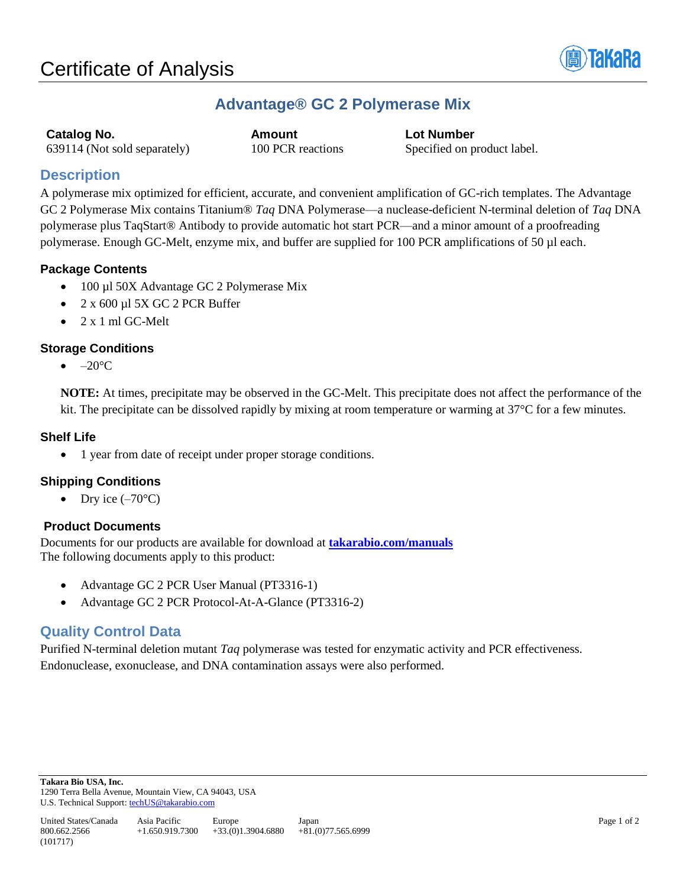

# **Advantage® GC 2 Polymerase Mix**

**Catalog No. Amount Lot Number** 639114 (Not sold separately) 100 PCR reactions Specified on product label.

# **Description**

A polymerase mix optimized for efficient, accurate, and convenient amplification of GC-rich templates. The Advantage GC 2 Polymerase Mix contains Titanium® *Taq* DNA Polymerase—a nuclease-deficient N-terminal deletion of *Taq* DNA polymerase plus TaqStart® Antibody to provide automatic hot start PCR—and a minor amount of a proofreading polymerase. Enough GC-Melt, enzyme mix, and buffer are supplied for 100 PCR amplifications of 50 µl each.

### **Package Contents**

- 100 µl 50X Advantage GC 2 Polymerase Mix
- $2 \times 600 \mu$ l 5X GC 2 PCR Buffer
- 2 x 1 ml GC-Melt

### **Storage Conditions**

 $\bullet$  –20 $\mathrm{^{\circ}C}$ 

**NOTE:** At times, precipitate may be observed in the GC-Melt. This precipitate does not affect the performance of the kit. The precipitate can be dissolved rapidly by mixing at room temperature or warming at 37°C for a few minutes.

#### **Shelf Life**

• 1 year from date of receipt under proper storage conditions.

## **Shipping Conditions**

Dry ice  $(-70^{\circ}C)$ 

### **Product Documents**

Documents for our products are available for download at **[takarabio.com/manuals](http://www.takarabio.com/manuals)** The following documents apply to this product:

- Advantage GC 2 PCR User Manual (PT3316-1)
- Advantage GC 2 PCR Protocol-At-A-Glance (PT3316-2)

# **Quality Control Data**

Purified N-terminal deletion mutant *Taq* polymerase was tested for enzymatic activity and PCR effectiveness. Endonuclease, exonuclease, and DNA contamination assays were also performed.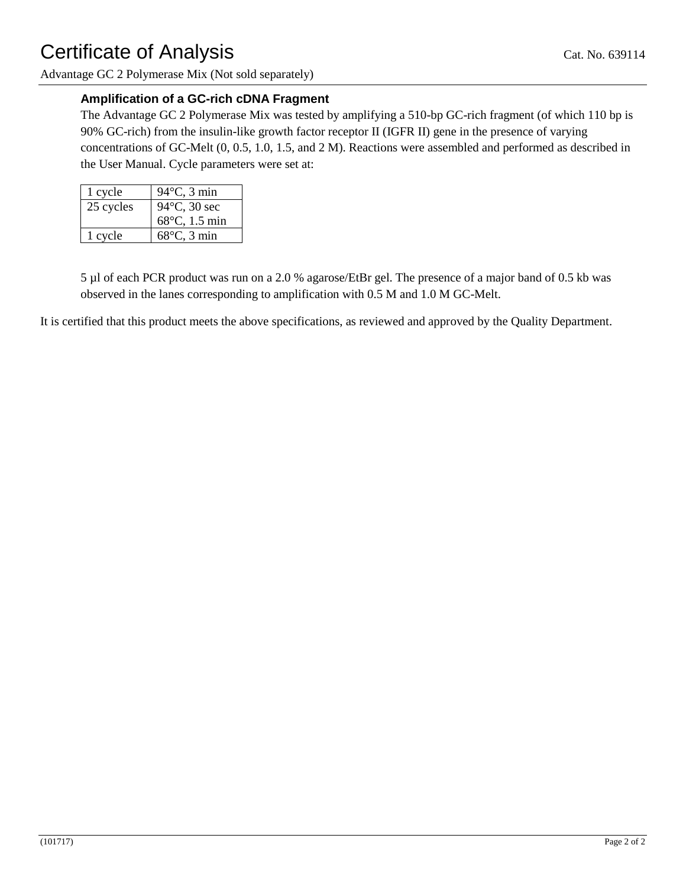Advantage GC 2 Polymerase Mix (Not sold separately)

## **Amplification of a GC-rich cDNA Fragment**

The Advantage GC 2 Polymerase Mix was tested by amplifying a 510-bp GC-rich fragment (of which 110 bp is 90% GC-rich) from the insulin-like growth factor receptor II (IGFR II) gene in the presence of varying concentrations of GC-Melt (0, 0.5, 1.0, 1.5, and 2 M). Reactions were assembled and performed as described in the User Manual. Cycle parameters were set at:

| 1 cycle   | $94^{\circ}$ C, 3 min  |
|-----------|------------------------|
| 25 cycles | $94^{\circ}$ C, 30 sec |
|           | 68°C, 1.5 min          |
| 1 cycle   | $68^{\circ}$ C, 3 min  |

5 µl of each PCR product was run on a 2.0 % agarose/EtBr gel. The presence of a major band of 0.5 kb was observed in the lanes corresponding to amplification with 0.5 M and 1.0 M GC-Melt.

It is certified that this product meets the above specifications, as reviewed and approved by the Quality Department.